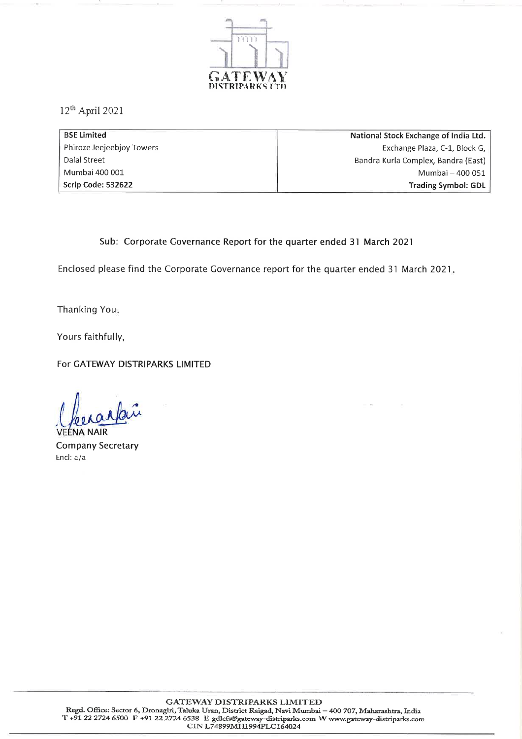

 $12<sup>th</sup>$  April 2021

| <b>BSE Limited</b>        | National Stock Exchange of India Ltd. |
|---------------------------|---------------------------------------|
| Phiroze Jeejeebjoy Towers | Exchange Plaza, C-1, Block G,         |
| Dalal Street              | Bandra Kurla Complex, Bandra (East)   |
| Mumbai 400 001            | Mumbai - 400 051                      |
| Scrip Code: 532622        | <b>Trading Symbol: GDL</b>            |

## Sub: Corporate Governance Report for the quarter ended 31 March 2021

Enclosed please find the Corporate Governance report for the quarter ended 31 March 2021.

Thanking You.

Yours faithfully,

For GATEWAY DISTRIPARKS LIMITED

**Company Secretary** Encl: a/a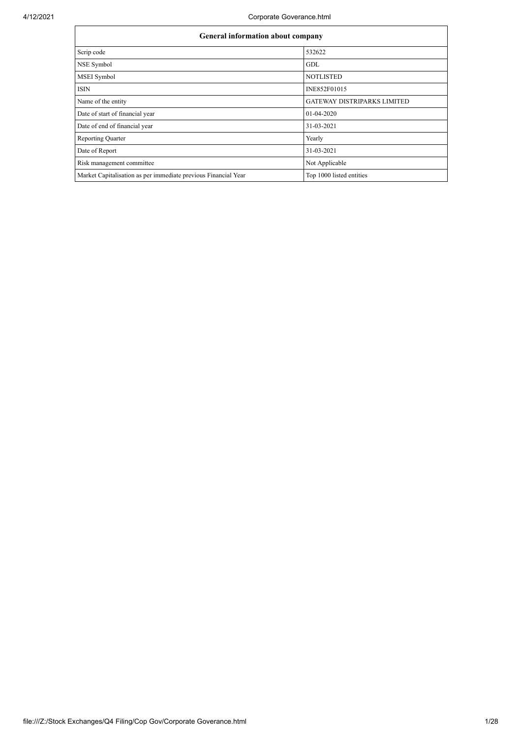| <b>General information about company</b>                       |                                    |
|----------------------------------------------------------------|------------------------------------|
| Scrip code                                                     | 532622                             |
| NSE Symbol                                                     | GDL                                |
| <b>MSEI</b> Symbol                                             | <b>NOTLISTED</b>                   |
| <b>ISIN</b>                                                    | INE852F01015                       |
| Name of the entity                                             | <b>GATEWAY DISTRIPARKS LIMITED</b> |
| Date of start of financial year                                | 01-04-2020                         |
| Date of end of financial year                                  | 31-03-2021                         |
| <b>Reporting Quarter</b>                                       | Yearly                             |
| Date of Report                                                 | 31-03-2021                         |
| Risk management committee                                      | Not Applicable                     |
| Market Capitalisation as per immediate previous Financial Year | Top 1000 listed entities           |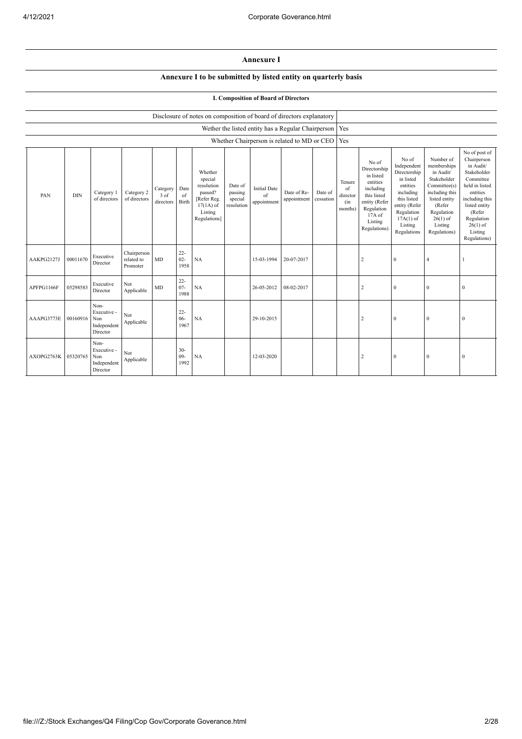## **Annexure I**

## **Annexure I to be submitted by listed entity on quarterly basis**

## **I. Composition of Board of Directors**

|            |            |                                                       |                                       |                                 |                          | Disclosure of notes on composition of board of directors explanatory                                 |                                             |                                                    |                            |                      |                                            |                                                                                                                                                  |                                                                                                                                                                   |                                                                                                                                                                          |                                                                                                                                                                                                         |
|------------|------------|-------------------------------------------------------|---------------------------------------|---------------------------------|--------------------------|------------------------------------------------------------------------------------------------------|---------------------------------------------|----------------------------------------------------|----------------------------|----------------------|--------------------------------------------|--------------------------------------------------------------------------------------------------------------------------------------------------|-------------------------------------------------------------------------------------------------------------------------------------------------------------------|--------------------------------------------------------------------------------------------------------------------------------------------------------------------------|---------------------------------------------------------------------------------------------------------------------------------------------------------------------------------------------------------|
|            |            |                                                       |                                       |                                 |                          |                                                                                                      |                                             | Wether the listed entity has a Regular Chairperson |                            |                      | Yes                                        |                                                                                                                                                  |                                                                                                                                                                   |                                                                                                                                                                          |                                                                                                                                                                                                         |
|            |            |                                                       |                                       |                                 |                          |                                                                                                      |                                             | Whether Chairperson is related to MD or CEO Yes    |                            |                      |                                            |                                                                                                                                                  |                                                                                                                                                                   |                                                                                                                                                                          |                                                                                                                                                                                                         |
| PAN        | <b>DIN</b> | Category 1<br>of directors                            | Category 2<br>of directors            | Category<br>$3$ of<br>directors | Date<br>of<br>Birth      | Whether<br>special<br>resolution<br>passed?<br>[Refer Reg.<br>$17(1A)$ of<br>Listing<br>Regulations] | Date of<br>passing<br>special<br>resolution | <b>Initial Date</b><br>of<br>appointment           | Date of Re-<br>appointment | Date of<br>cessation | Tenure<br>of<br>director<br>(in<br>months) | No of<br>Directorship<br>in listed<br>entities<br>including<br>this listed<br>entity (Refer<br>Regulation<br>$17A$ of<br>Listing<br>Regulations) | No of<br>Independent<br>Directorship<br>in listed<br>entities<br>including<br>this listed<br>entity (Refer<br>Regulation<br>$17A(1)$ of<br>Listing<br>Regulations | Number of<br>memberships<br>in Audit/<br>Stakeholder<br>Committee(s)<br>including this<br>listed entity<br>(Refer<br>Regulation<br>$26(1)$ of<br>Listing<br>Regulations) | No of post of<br>Chairperson<br>in Audit/<br>Stakeholder<br>Committee<br>held in listed<br>entities<br>including this<br>listed entity<br>(Refer<br>Regulation<br>$26(1)$ of<br>Listing<br>Regulations) |
| AAKPG2127J | 00011670   | Executive<br>Director                                 | Chairperson<br>related to<br>Promoter | MD                              | $22 -$<br>$02 -$<br>1958 | NA                                                                                                   |                                             | 15-03-1994                                         | 20-07-2017                 |                      |                                            | $\overline{2}$                                                                                                                                   | $\mathbf{0}$                                                                                                                                                      | $\overline{4}$                                                                                                                                                           |                                                                                                                                                                                                         |
| APFPG1166F | 05298583   | Executive<br>Director                                 | Not<br>Applicable                     | <b>MD</b>                       | $22 -$<br>$07 -$<br>1988 | NA                                                                                                   |                                             | 26-05-2012                                         | 08-02-2017                 |                      |                                            | $\sqrt{2}$                                                                                                                                       | $\mathbf{0}$                                                                                                                                                      | $\mathbf{0}$                                                                                                                                                             | $\mathbf{0}$                                                                                                                                                                                            |
| AAAPG3773E | 00160916   | Non-<br>Executive -<br>Non<br>Independent<br>Director | Not<br>Applicable                     |                                 | $22 -$<br>$06 -$<br>1967 | NA                                                                                                   |                                             | 29-10-2015                                         |                            |                      |                                            | $\overline{2}$                                                                                                                                   | $\mathbf{0}$                                                                                                                                                      | $\theta$                                                                                                                                                                 | $\mathbf{0}$                                                                                                                                                                                            |
| AXOPG2763K | 05320765   | Non-<br>Executive -<br>Non<br>Independent<br>Director | Not<br>Applicable                     |                                 | $30 -$<br>$09 -$<br>1992 | NA                                                                                                   |                                             | 12-03-2020                                         |                            |                      |                                            | $\overline{2}$                                                                                                                                   | $\mathbf{0}$                                                                                                                                                      | $\mathbf{0}$                                                                                                                                                             | $\mathbf{0}$                                                                                                                                                                                            |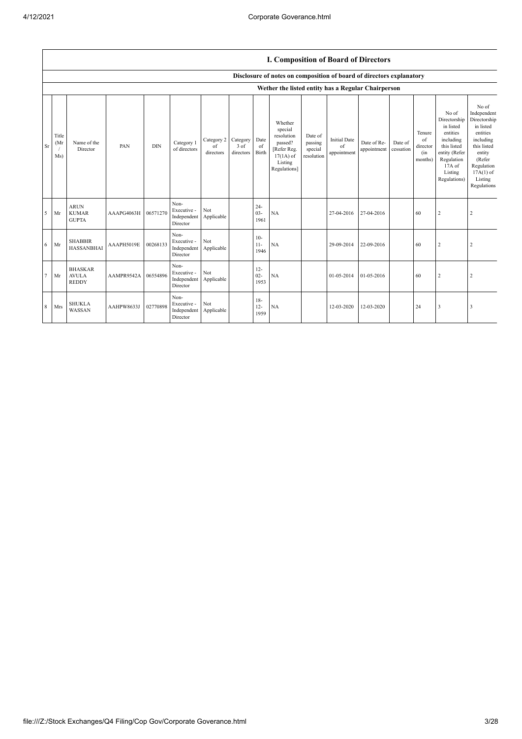|                 |                      |                                                |            |            |                                                |                               |                                 |                          | <b>I. Composition of Board of Directors</b>                                                          |                                             |                                          |                            |                      |                                            |                                                                                                                                                |                                                                                                                                                                      |
|-----------------|----------------------|------------------------------------------------|------------|------------|------------------------------------------------|-------------------------------|---------------------------------|--------------------------|------------------------------------------------------------------------------------------------------|---------------------------------------------|------------------------------------------|----------------------------|----------------------|--------------------------------------------|------------------------------------------------------------------------------------------------------------------------------------------------|----------------------------------------------------------------------------------------------------------------------------------------------------------------------|
|                 |                      |                                                |            |            |                                                |                               |                                 |                          | Disclosure of notes on composition of board of directors explanatory                                 |                                             |                                          |                            |                      |                                            |                                                                                                                                                |                                                                                                                                                                      |
|                 |                      |                                                |            |            |                                                |                               |                                 |                          | Wether the listed entity has a Regular Chairperson                                                   |                                             |                                          |                            |                      |                                            |                                                                                                                                                |                                                                                                                                                                      |
| <b>Sr</b>       | Title<br>(Mr)<br>Ms) | Name of the<br>Director                        | PAN        | <b>DIN</b> | Category 1<br>of directors                     | Category 2<br>of<br>directors | Category<br>$3$ of<br>directors | Date<br>of<br>Birth      | Whether<br>special<br>resolution<br>passed?<br>[Refer Reg.<br>$17(1A)$ of<br>Listing<br>Regulations] | Date of<br>passing<br>special<br>resolution | <b>Initial Date</b><br>of<br>appointment | Date of Re-<br>appointment | Date of<br>cessation | Tenure<br>of<br>director<br>(in<br>months) | No of<br>Directorship<br>in listed<br>entities<br>including<br>this listed<br>entity (Refer<br>Regulation<br>17A of<br>Listing<br>Regulations) | No of<br>Independent<br>Directorship<br>in listed<br>entities<br>including<br>this listed<br>entity<br>(Refer<br>Regulation<br>$17A(1)$ of<br>Listing<br>Regulations |
| 5               | Mr                   | <b>ARUN</b><br><b>KUMAR</b><br><b>GUPTA</b>    | AAAPG4063H | 06571270   | Non-<br>Executive -<br>Independent<br>Director | Not<br>Applicable             |                                 | $24 -$<br>$03 -$<br>1961 | NA                                                                                                   |                                             | 27-04-2016                               | 27-04-2016                 |                      | 60                                         | $\overline{c}$                                                                                                                                 | 2                                                                                                                                                                    |
| 6               | Mr                   | <b>SHABBIR</b><br><b>HASSANBHAI</b>            | AAAPH5019E | 00268133   | Non-<br>Executive -<br>Independent<br>Director | Not<br>Applicable             |                                 | $10-$<br>$11-$<br>1946   | NA                                                                                                   |                                             | 29-09-2014                               | 22-09-2016                 |                      | 60                                         | $\overline{c}$                                                                                                                                 | $\overline{2}$                                                                                                                                                       |
| $7\phantom{.0}$ | Mr                   | <b>BHASKAR</b><br><b>AVULA</b><br><b>REDDY</b> | AAMPR9542A | 06554896   | Non-<br>Executive -<br>Independent<br>Director | Not<br>Applicable             |                                 | $12 -$<br>$02 -$<br>1953 | NA                                                                                                   |                                             | 01-05-2014                               | 01-05-2016                 |                      | 60                                         | $\overline{c}$                                                                                                                                 | $\overline{2}$                                                                                                                                                       |
| 8               | Mrs                  | <b>SHUKLA</b><br><b>WASSAN</b>                 | AAHPW8633J | 02770898   | Non-<br>Executive -<br>Independent<br>Director | Not<br>Applicable             |                                 | $18-$<br>$12 -$<br>1959  | NA                                                                                                   |                                             | 12-03-2020                               | 12-03-2020                 |                      | 24                                         | 3                                                                                                                                              |                                                                                                                                                                      |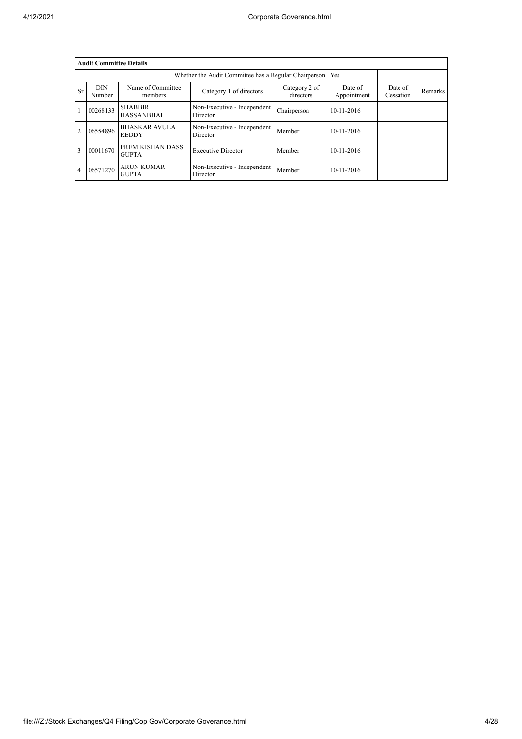|                | <b>Audit Committee Details</b> |                                                             |                                         |                            |                        |                      |         |
|----------------|--------------------------------|-------------------------------------------------------------|-----------------------------------------|----------------------------|------------------------|----------------------|---------|
|                |                                | Whether the Audit Committee has a Regular Chairperson   Yes |                                         |                            |                        |                      |         |
| <b>Sr</b>      | <b>DIN</b><br>Number           | Name of Committee<br>members                                | Category 1 of directors                 | Category 2 of<br>directors | Date of<br>Appointment | Date of<br>Cessation | Remarks |
|                | 00268133                       | <b>SHABBIR</b><br><b>HASSANBHAI</b>                         | Non-Executive - Independent<br>Director | Chairperson                | $10-11-2016$           |                      |         |
| $\overline{2}$ | 06554896                       | <b>BHASKAR AVULA</b><br><b>REDDY</b>                        | Non-Executive - Independent<br>Director | Member                     | $10-11-2016$           |                      |         |
| 3              | 00011670                       | PREM KISHAN DASS<br><b>GUPTA</b>                            | <b>Executive Director</b>               | Member                     | $10-11-2016$           |                      |         |
| 4              | 06571270                       | ARUN KUMAR<br><b>GUPTA</b>                                  | Non-Executive - Independent<br>Director | Member                     | 10-11-2016             |                      |         |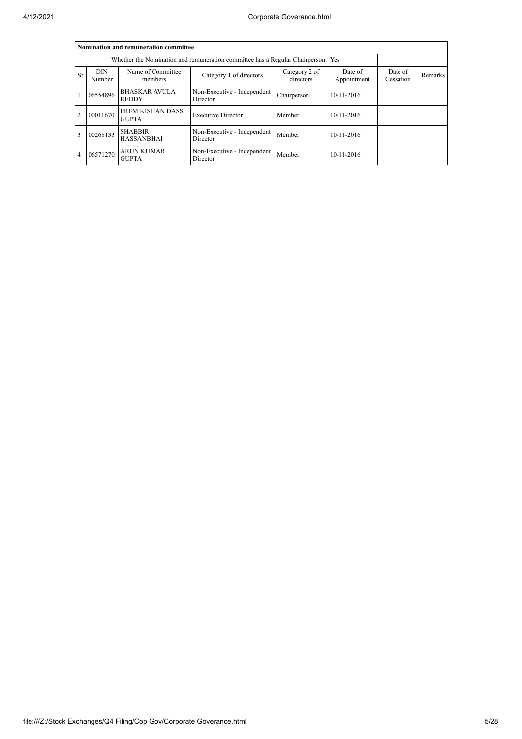|    |                                                                             | Nomination and remuneration committee |                                         |             |            |  |  |
|----|-----------------------------------------------------------------------------|---------------------------------------|-----------------------------------------|-------------|------------|--|--|
|    | Whether the Nomination and remuneration committee has a Regular Chairperson |                                       |                                         |             |            |  |  |
| Sr | <b>DIN</b><br>Number                                                        | Date of<br>Appointment                | Date of<br>Cessation                    | Remarks     |            |  |  |
|    | 06554896                                                                    | <b>BHASKAR AVULA</b><br><b>REDDY</b>  | Non-Executive - Independent<br>Director | Chairperson | 10-11-2016 |  |  |
| 2  | 00011670                                                                    | PREM KISHAN DASS<br><b>GUPTA</b>      | <b>Executive Director</b>               | Member      | 10-11-2016 |  |  |
| 3  | 00268133                                                                    | <b>SHABBIR</b><br><b>HASSANBHAI</b>   | Non-Executive - Independent<br>Director | Member      | 10-11-2016 |  |  |
| 4  | 06571270                                                                    | <b>ARUN KUMAR</b><br><b>GUPTA</b>     | Non-Executive - Independent<br>Director | Member      | 10-11-2016 |  |  |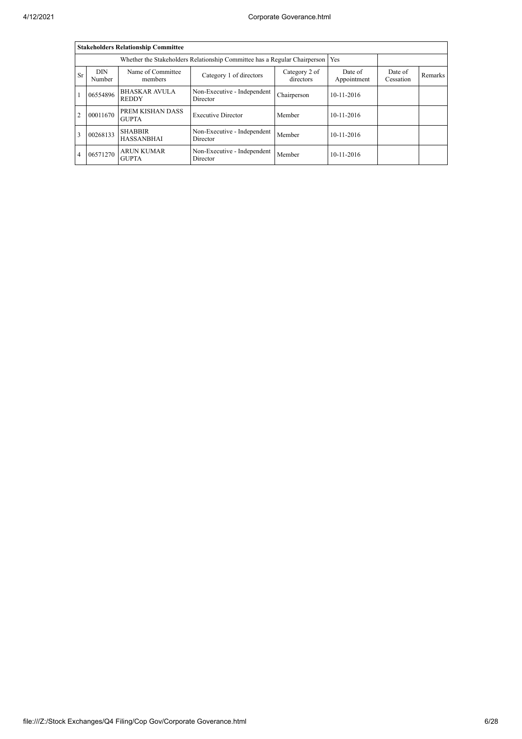|                |                      | <b>Stakeholders Relationship Committee</b> |                                                                           |             |            |  |  |
|----------------|----------------------|--------------------------------------------|---------------------------------------------------------------------------|-------------|------------|--|--|
|                |                      |                                            | Whether the Stakeholders Relationship Committee has a Regular Chairperson |             | Yes        |  |  |
| Sr             | <b>DIN</b><br>Number | Date of<br>Appointment                     | Date of<br>Cessation                                                      | Remarks     |            |  |  |
|                | 06554896             | <b>BHASKAR AVULA</b><br><b>REDDY</b>       | Non-Executive - Independent<br>Director                                   | Chairperson | 10-11-2016 |  |  |
| $\overline{c}$ | 00011670             | PREM KISHAN DASS<br><b>GUPTA</b>           | <b>Executive Director</b>                                                 | Member      | 10-11-2016 |  |  |
| $\mathbf{3}$   | 00268133             | <b>SHABBIR</b><br><b>HASSANBHAI</b>        | Non-Executive - Independent<br>Director                                   | Member      | 10-11-2016 |  |  |
| 4              | 06571270             | <b>ARUN KUMAR</b><br><b>GUPTA</b>          | Non-Executive - Independent<br>Director                                   | Member      | 10-11-2016 |  |  |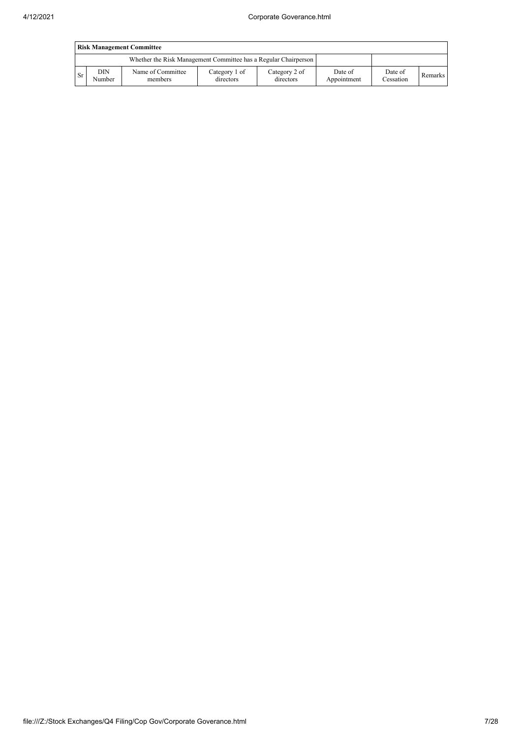|           | <b>Risk Management Committee</b> |                                                                 |                            |                            |                        |                      |         |  |  |  |  |
|-----------|----------------------------------|-----------------------------------------------------------------|----------------------------|----------------------------|------------------------|----------------------|---------|--|--|--|--|
|           |                                  | Whether the Risk Management Committee has a Regular Chairperson |                            |                            |                        |                      |         |  |  |  |  |
| <b>Sr</b> | DIN<br>Number                    | Name of Committee<br>members                                    | Category 1 of<br>directors | Category 2 of<br>directors | Date of<br>Appointment | Date of<br>Cessation | Remarks |  |  |  |  |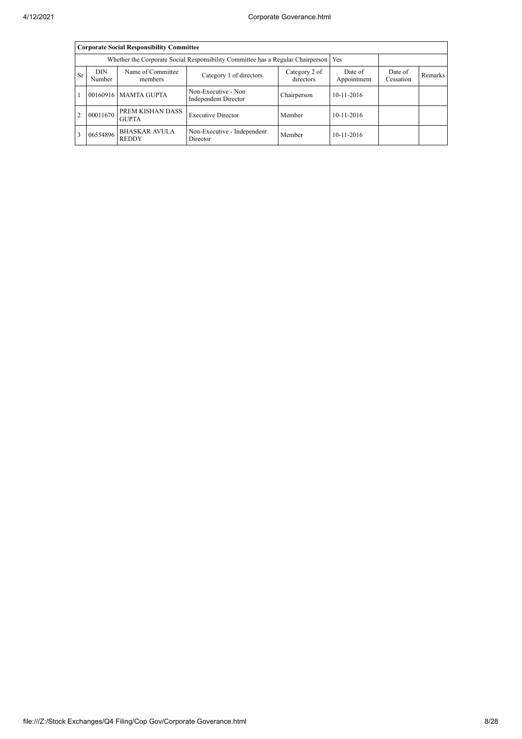|           |                                                                                       | <b>Corporate Social Responsibility Committee</b> |                                                    |             |                  |  |  |  |  |  |  |
|-----------|---------------------------------------------------------------------------------------|--------------------------------------------------|----------------------------------------------------|-------------|------------------|--|--|--|--|--|--|
|           | Whether the Corporate Social Responsibility Committee has a Regular Chairperson   Yes |                                                  |                                                    |             |                  |  |  |  |  |  |  |
| <b>Sr</b> | <b>DIN</b><br>Number                                                                  | Date of<br>Appointment                           | Date of<br>Cessation                               | Remarks     |                  |  |  |  |  |  |  |
|           |                                                                                       | 00160916 MAMTA GUPTA                             | Non-Executive - Non<br><b>Independent Director</b> | Chairperson | 10-11-2016       |  |  |  |  |  |  |
|           | 00011670                                                                              | PREM KISHAN DASS<br><b>GUPTA</b>                 | <b>Executive Director</b>                          | Member      | $10 - 11 - 2016$ |  |  |  |  |  |  |
|           | 06554896                                                                              | <b>BHASKAR AVULA</b><br><b>REDDY</b>             | Non-Executive - Independent<br>Director            | Member      | 10-11-2016       |  |  |  |  |  |  |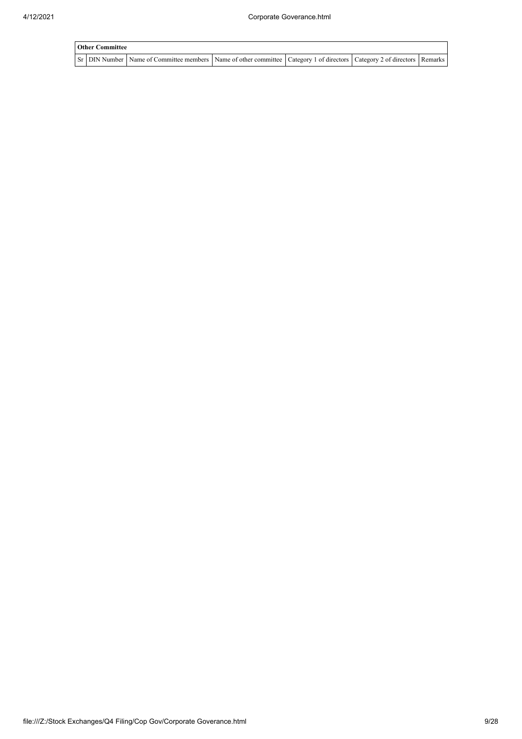| <b>Other Committee</b><br>Sr DIN Number Name of Committee members Name of other committee   Category 1 of directors   Category 2 of directors   Remarks |  |  |  |  |  |  |
|---------------------------------------------------------------------------------------------------------------------------------------------------------|--|--|--|--|--|--|
|                                                                                                                                                         |  |  |  |  |  |  |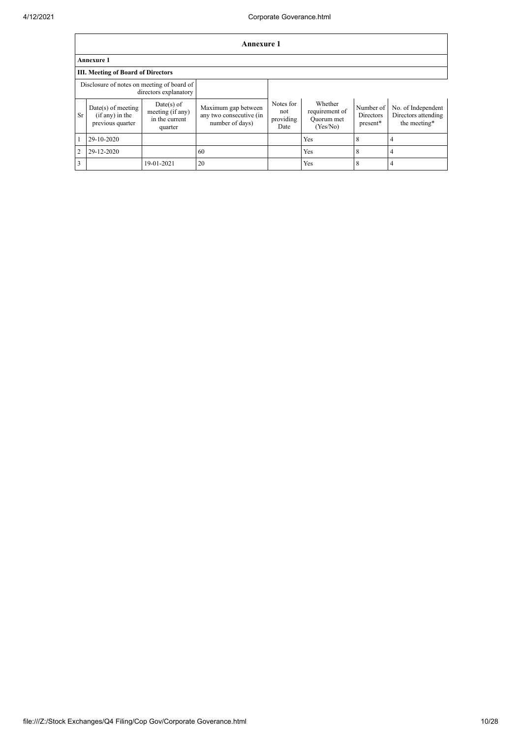|                |                                                                     |                                                               | <b>Annexure 1</b>                                                 |                                       |                                                     |                                           |                                                           |  |  |  |  |
|----------------|---------------------------------------------------------------------|---------------------------------------------------------------|-------------------------------------------------------------------|---------------------------------------|-----------------------------------------------------|-------------------------------------------|-----------------------------------------------------------|--|--|--|--|
|                | <b>Annexure 1</b>                                                   |                                                               |                                                                   |                                       |                                                     |                                           |                                                           |  |  |  |  |
|                | <b>III. Meeting of Board of Directors</b>                           |                                                               |                                                                   |                                       |                                                     |                                           |                                                           |  |  |  |  |
|                | Disclosure of notes on meeting of board of<br>directors explanatory |                                                               |                                                                   |                                       |                                                     |                                           |                                                           |  |  |  |  |
| <b>Sr</b>      | $Date(s)$ of meeting<br>$(if any)$ in the<br>previous quarter       | $Date(s)$ of<br>meeting (if any)<br>in the current<br>quarter | Maximum gap between<br>any two consecutive (in<br>number of days) | Notes for<br>not<br>providing<br>Date | Whether<br>requirement of<br>Quorum met<br>(Yes/No) | Number of<br><b>Directors</b><br>present* | No. of Independent<br>Directors attending<br>the meeting* |  |  |  |  |
|                | 29-10-2020                                                          |                                                               |                                                                   |                                       | Yes                                                 | 8                                         | 4                                                         |  |  |  |  |
| $\overline{2}$ | 29-12-2020                                                          |                                                               | 60                                                                |                                       | Yes                                                 | 8                                         | 4                                                         |  |  |  |  |
| $\overline{3}$ |                                                                     | 19-01-2021                                                    | 20                                                                |                                       | Yes                                                 | 8                                         | 4                                                         |  |  |  |  |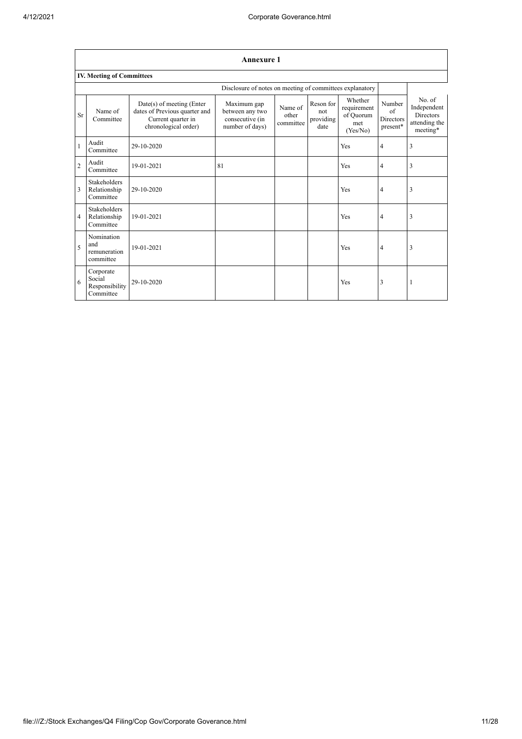$\overline{1}$ 

|                          | <b>Annexure 1</b>                                  |                                                                                                            |                                                                      |                               |                                       |                                                        |                                                      |                                                                        |  |  |  |
|--------------------------|----------------------------------------------------|------------------------------------------------------------------------------------------------------------|----------------------------------------------------------------------|-------------------------------|---------------------------------------|--------------------------------------------------------|------------------------------------------------------|------------------------------------------------------------------------|--|--|--|
|                          | <b>IV. Meeting of Committees</b>                   |                                                                                                            |                                                                      |                               |                                       |                                                        |                                                      |                                                                        |  |  |  |
|                          |                                                    |                                                                                                            | Disclosure of notes on meeting of committees explanatory             |                               |                                       |                                                        |                                                      |                                                                        |  |  |  |
| Sr                       | Name of<br>Committee                               | $Date(s)$ of meeting (Enter<br>dates of Previous quarter and<br>Current quarter in<br>chronological order) | Maximum gap<br>between any two<br>consecutive (in<br>number of days) | Name of<br>other<br>committee | Reson for<br>not<br>providing<br>date | Whether<br>requirement<br>of Quorum<br>met<br>(Yes/No) | Number<br>$\sigma$ f<br><b>Directors</b><br>present* | No. of<br>Independent<br><b>Directors</b><br>attending the<br>meeting* |  |  |  |
|                          | Audit<br>Committee                                 | 29-10-2020                                                                                                 |                                                                      |                               |                                       | Yes                                                    | $\overline{4}$                                       | 3                                                                      |  |  |  |
| $\overline{2}$           | Audit<br>Committee                                 | 19-01-2021                                                                                                 | 81                                                                   |                               |                                       | Yes                                                    | $\overline{4}$                                       | 3                                                                      |  |  |  |
| $\overline{3}$           | Stakeholders<br>Relationship<br>Committee          | 29-10-2020                                                                                                 |                                                                      |                               |                                       | Yes                                                    | $\overline{4}$                                       | 3                                                                      |  |  |  |
| $\overline{4}$           | <b>Stakeholders</b><br>Relationship<br>Committee   | 19-01-2021                                                                                                 |                                                                      |                               |                                       | Yes                                                    | $\overline{4}$                                       | 3                                                                      |  |  |  |
| $\overline{\phantom{0}}$ | Nomination<br>and<br>remuneration<br>committee     | 19-01-2021                                                                                                 |                                                                      |                               |                                       | Yes                                                    | $\overline{4}$                                       | 3                                                                      |  |  |  |
| 6                        | Corporate<br>Social<br>Responsibility<br>Committee | 29-10-2020                                                                                                 |                                                                      |                               |                                       | Yes                                                    | 3                                                    | 1                                                                      |  |  |  |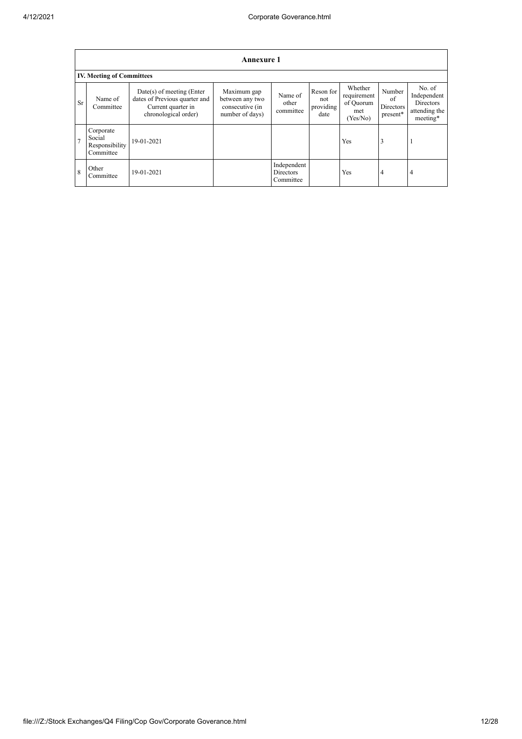|                | <b>Annexure 1</b>                                  |                                                                                                            |                                                                      |                                       |                                       |                                                        |                                       |                                                                        |
|----------------|----------------------------------------------------|------------------------------------------------------------------------------------------------------------|----------------------------------------------------------------------|---------------------------------------|---------------------------------------|--------------------------------------------------------|---------------------------------------|------------------------------------------------------------------------|
|                | <b>IV. Meeting of Committees</b>                   |                                                                                                            |                                                                      |                                       |                                       |                                                        |                                       |                                                                        |
| Sr             | Name of<br>Committee                               | $Date(s)$ of meeting (Enter<br>dates of Previous quarter and<br>Current quarter in<br>chronological order) | Maximum gap<br>between any two<br>consecutive (in<br>number of days) | Name of<br>other<br>committee         | Reson for<br>not<br>providing<br>date | Whether<br>requirement<br>of Quorum<br>met<br>(Yes/No) | Number<br>of<br>Directors<br>present* | No. of<br>Independent<br><b>Directors</b><br>attending the<br>meeting* |
| $\overline{7}$ | Corporate<br>Social<br>Responsibility<br>Committee | 19-01-2021                                                                                                 |                                                                      |                                       |                                       | Yes                                                    | 3                                     |                                                                        |
| 8              | Other<br>Committee                                 | 19-01-2021                                                                                                 |                                                                      | Independent<br>Directors<br>Committee |                                       | Yes                                                    | $\overline{4}$                        | $\overline{4}$                                                         |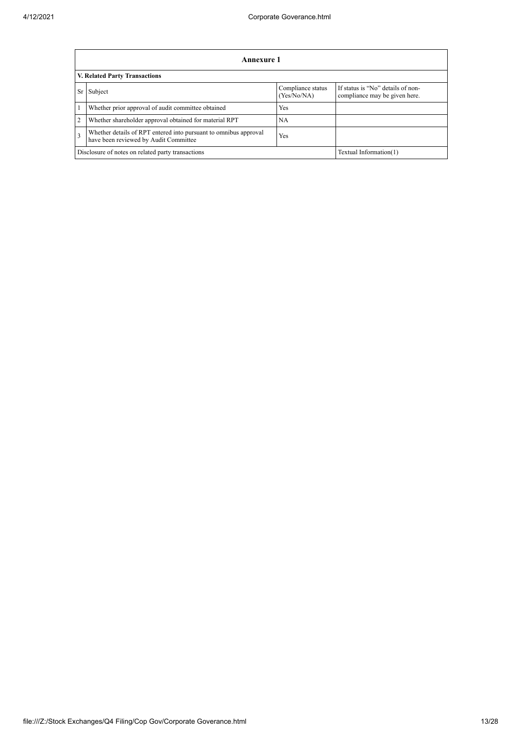|    | Annexure 1                                                                                                |                                  |                                                                    |  |  |
|----|-----------------------------------------------------------------------------------------------------------|----------------------------------|--------------------------------------------------------------------|--|--|
|    | V. Related Party Transactions                                                                             |                                  |                                                                    |  |  |
| Sr | Subject                                                                                                   | Compliance status<br>(Yes/No/NA) | If status is "No" details of non-<br>compliance may be given here. |  |  |
|    | Whether prior approval of audit committee obtained                                                        | Yes                              |                                                                    |  |  |
| 2  | Whether shareholder approval obtained for material RPT                                                    | NА                               |                                                                    |  |  |
| 3  | Whether details of RPT entered into pursuant to omnibus approval<br>have been reviewed by Audit Committee | Yes                              |                                                                    |  |  |
|    | Disclosure of notes on related party transactions<br>Textual Information(1)                               |                                  |                                                                    |  |  |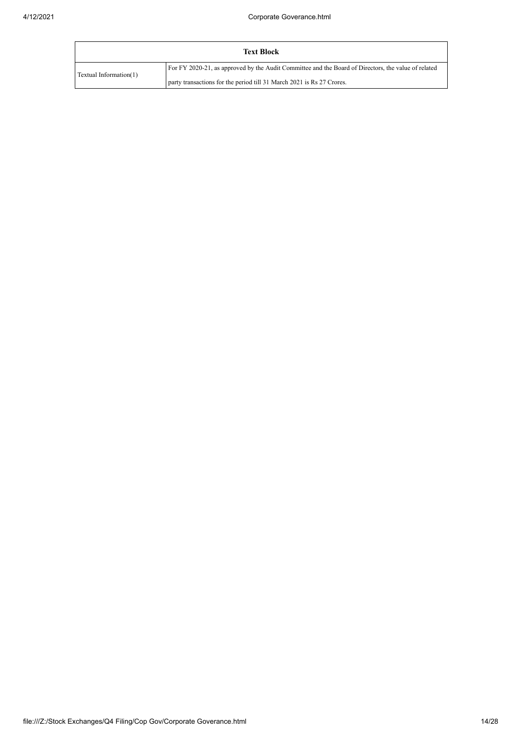|                        | <b>Text Block</b>                                                                                   |
|------------------------|-----------------------------------------------------------------------------------------------------|
| Textual Information(1) | For FY 2020-21, as approved by the Audit Committee and the Board of Directors, the value of related |
|                        | party transactions for the period till 31 March 2021 is Rs 27 Crores.                               |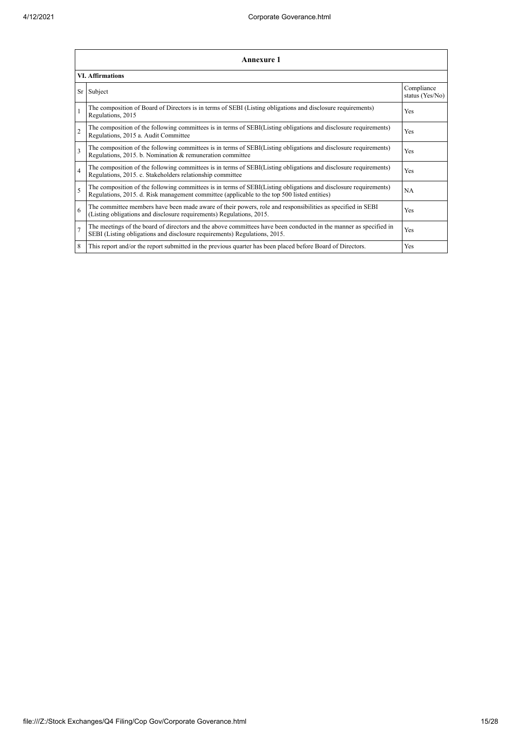|                | <b>Annexure 1</b>                                                                                                                                                                                               |                               |  |  |  |  |
|----------------|-----------------------------------------------------------------------------------------------------------------------------------------------------------------------------------------------------------------|-------------------------------|--|--|--|--|
|                | <b>VI. Affirmations</b>                                                                                                                                                                                         |                               |  |  |  |  |
| Sr             | Subject                                                                                                                                                                                                         | Compliance<br>status (Yes/No) |  |  |  |  |
|                | The composition of Board of Directors is in terms of SEBI (Listing obligations and disclosure requirements)<br>Regulations, 2015                                                                                | Yes                           |  |  |  |  |
| $\overline{2}$ | The composition of the following committees is in terms of SEBI(Listing obligations and disclosure requirements)<br>Regulations, 2015 a. Audit Committee                                                        | Yes                           |  |  |  |  |
| 3              | The composition of the following committees is in terms of SEBI(Listing obligations and disclosure requirements)<br>Regulations, 2015. b. Nomination & remuneration committee                                   | Yes                           |  |  |  |  |
| $\overline{4}$ | The composition of the following committees is in terms of SEBI(Listing obligations and disclosure requirements)<br>Regulations, 2015. c. Stakeholders relationship committee                                   | Yes                           |  |  |  |  |
| 5              | The composition of the following committees is in terms of SEBI(Listing obligations and disclosure requirements)<br>Regulations, 2015. d. Risk management committee (applicable to the top 500 listed entities) | <b>NA</b>                     |  |  |  |  |
| 6              | The committee members have been made aware of their powers, role and responsibilities as specified in SEBI<br>(Listing obligations and disclosure requirements) Regulations, 2015.                              | Yes                           |  |  |  |  |
| $\overline{7}$ | The meetings of the board of directors and the above committees have been conducted in the manner as specified in<br>SEBI (Listing obligations and disclosure requirements) Regulations, 2015.                  | Yes                           |  |  |  |  |
| 8              | This report and/or the report submitted in the previous quarter has been placed before Board of Directors.                                                                                                      | Yes                           |  |  |  |  |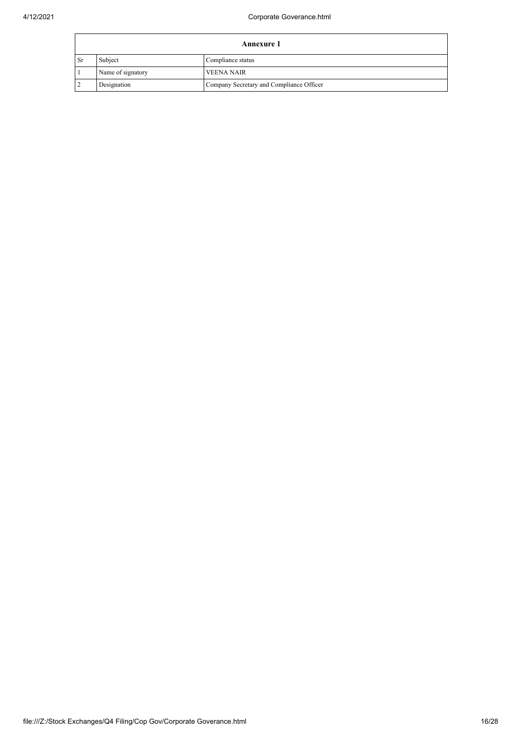|                | <b>Annexure 1</b> |                                          |  |  |  |
|----------------|-------------------|------------------------------------------|--|--|--|
| l Sr           | Subject           | Compliance status                        |  |  |  |
|                | Name of signatory | <b>VEENA NAIR</b>                        |  |  |  |
| $\overline{2}$ | Designation       | Company Secretary and Compliance Officer |  |  |  |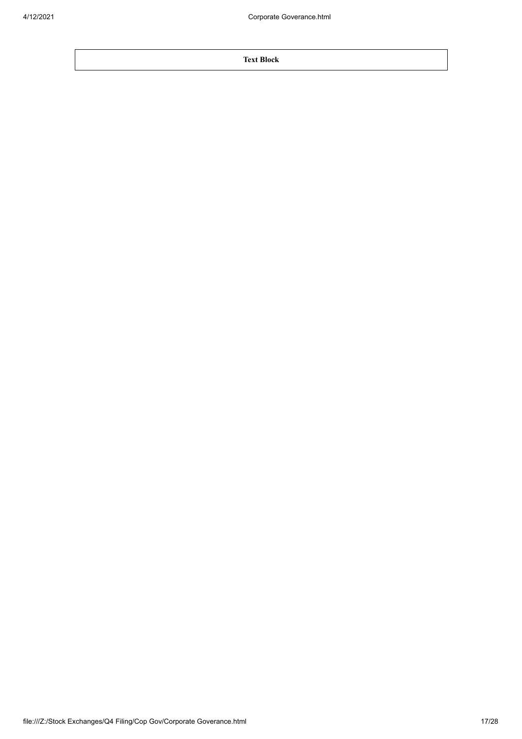**Text Block**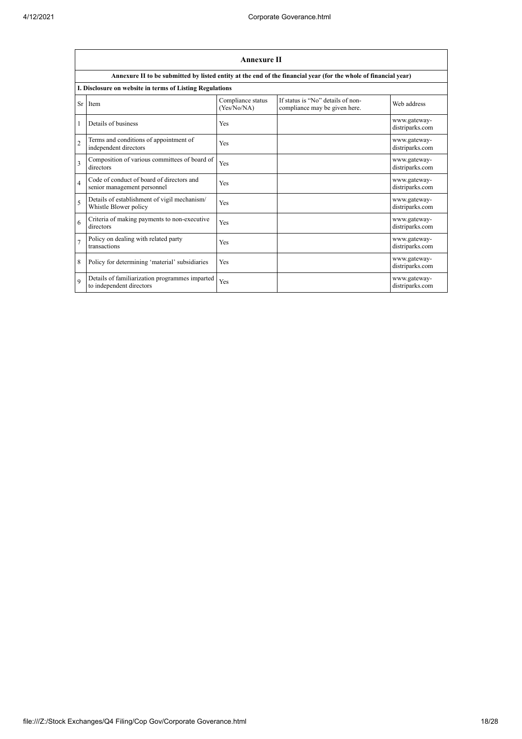|                         | <b>Annexure II</b>                                                         |                                  |                                                                                                                 |                                 |  |
|-------------------------|----------------------------------------------------------------------------|----------------------------------|-----------------------------------------------------------------------------------------------------------------|---------------------------------|--|
|                         |                                                                            |                                  | Annexure II to be submitted by listed entity at the end of the financial year (for the whole of financial year) |                                 |  |
|                         | I. Disclosure on website in terms of Listing Regulations                   |                                  |                                                                                                                 |                                 |  |
| <b>Sr</b>               | Item                                                                       | Compliance status<br>(Yes/No/NA) | If status is "No" details of non-<br>compliance may be given here.                                              | Web address                     |  |
|                         | Details of business                                                        | Yes                              |                                                                                                                 | www.gateway-<br>distriparks.com |  |
| $\overline{2}$          | Terms and conditions of appointment of<br>independent directors            | Yes                              |                                                                                                                 | www.gateway-<br>distriparks.com |  |
| $\overline{\mathbf{3}}$ | Composition of various committees of board of<br>directors                 | Yes                              |                                                                                                                 | www.gateway-<br>distriparks.com |  |
| $\overline{4}$          | Code of conduct of board of directors and<br>senior management personnel   | Yes                              |                                                                                                                 | www.gateway-<br>distriparks.com |  |
| 5                       | Details of establishment of vigil mechanism/<br>Whistle Blower policy      | Yes                              |                                                                                                                 | www.gateway-<br>distriparks.com |  |
| 6                       | Criteria of making payments to non-executive<br>directors                  | Yes                              |                                                                                                                 | www.gateway-<br>distriparks.com |  |
| $\overline{7}$          | Policy on dealing with related party<br>transactions                       | Yes                              |                                                                                                                 | www.gateway-<br>distriparks.com |  |
| 8                       | Policy for determining 'material' subsidiaries                             | Yes                              |                                                                                                                 | www.gateway-<br>distriparks.com |  |
| $\mathbf Q$             | Details of familiarization programmes imparted<br>to independent directors | Yes                              |                                                                                                                 | www.gateway-<br>distriparks.com |  |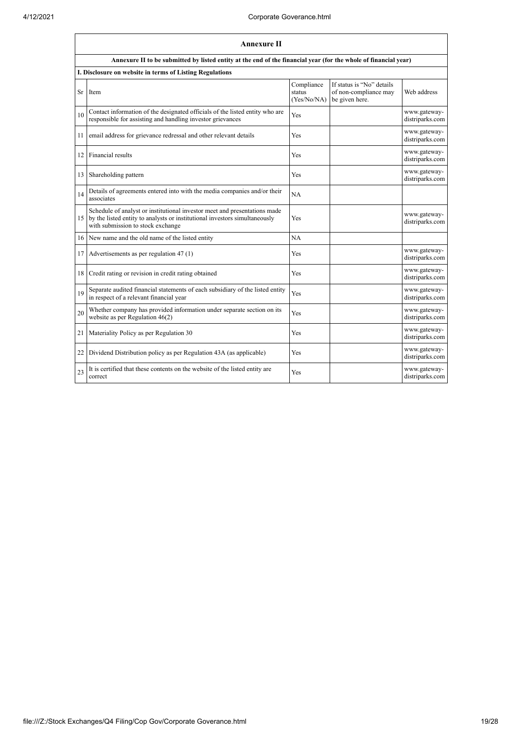|                 | Annexure II                                                                                                                                                                                  |                                     |                                                                      |                                 |  |
|-----------------|----------------------------------------------------------------------------------------------------------------------------------------------------------------------------------------------|-------------------------------------|----------------------------------------------------------------------|---------------------------------|--|
|                 | Annexure II to be submitted by listed entity at the end of the financial year (for the whole of financial year)                                                                              |                                     |                                                                      |                                 |  |
|                 | I. Disclosure on website in terms of Listing Regulations                                                                                                                                     |                                     |                                                                      |                                 |  |
| Sr              | Item                                                                                                                                                                                         | Compliance<br>status<br>(Yes/No/NA) | If status is "No" details<br>of non-compliance may<br>be given here. | Web address                     |  |
| 10              | Contact information of the designated officials of the listed entity who are<br>responsible for assisting and handling investor grievances                                                   | Yes                                 |                                                                      | www.gateway-<br>distriparks.com |  |
| 11              | email address for grievance redressal and other relevant details                                                                                                                             | Yes                                 |                                                                      | www.gateway-<br>distriparks.com |  |
| 12              | Financial results                                                                                                                                                                            | Yes                                 |                                                                      | www.gateway-<br>distriparks.com |  |
| 13              | Shareholding pattern                                                                                                                                                                         | Yes                                 |                                                                      | www.gateway-<br>distriparks.com |  |
| 14              | Details of agreements entered into with the media companies and/or their<br>associates                                                                                                       | NA                                  |                                                                      |                                 |  |
| 15 <sup>1</sup> | Schedule of analyst or institutional investor meet and presentations made<br>by the listed entity to analysts or institutional investors simultaneously<br>with submission to stock exchange | Yes                                 |                                                                      | www.gateway-<br>distriparks.com |  |
| 16              | New name and the old name of the listed entity                                                                                                                                               | NA                                  |                                                                      |                                 |  |
| 17              | Advertisements as per regulation 47 (1)                                                                                                                                                      | Yes                                 |                                                                      | www.gateway-<br>distriparks.com |  |
| 18              | Credit rating or revision in credit rating obtained                                                                                                                                          | Yes                                 |                                                                      | www.gateway-<br>distriparks.com |  |
| 19              | Separate audited financial statements of each subsidiary of the listed entity<br>in respect of a relevant financial year                                                                     | Yes                                 |                                                                      | www.gateway-<br>distriparks.com |  |
| 20              | Whether company has provided information under separate section on its<br>website as per Regulation 46(2)                                                                                    | Yes                                 |                                                                      | www.gateway-<br>distriparks.com |  |
| 21              | Materiality Policy as per Regulation 30                                                                                                                                                      | Yes                                 |                                                                      | www.gateway-<br>distriparks.com |  |
| 22              | Dividend Distribution policy as per Regulation 43A (as applicable)                                                                                                                           | Yes                                 |                                                                      | www.gateway-<br>distriparks.com |  |
| 23              | It is certified that these contents on the website of the listed entity are<br>correct                                                                                                       | Yes                                 |                                                                      | www.gateway-<br>distriparks.com |  |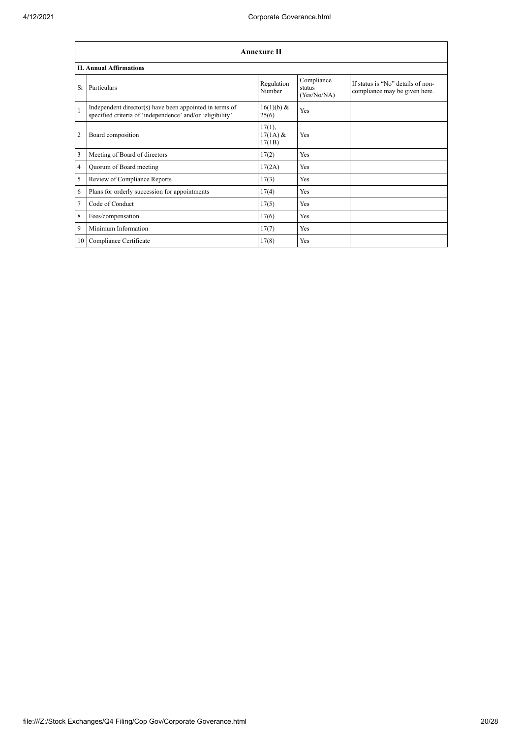|                | <b>Annexure II</b>                                                                                                   |                                   |                                     |                                                                    |  |  |
|----------------|----------------------------------------------------------------------------------------------------------------------|-----------------------------------|-------------------------------------|--------------------------------------------------------------------|--|--|
|                | <b>II. Annual Affirmations</b>                                                                                       |                                   |                                     |                                                                    |  |  |
|                | Sr Particulars                                                                                                       | Regulation<br>Number              | Compliance<br>status<br>(Yes/No/NA) | If status is "No" details of non-<br>compliance may be given here. |  |  |
| $\mathbf{1}$   | Independent director(s) have been appointed in terms of<br>specified criteria of 'independence' and/or 'eligibility' | 16(1)(b) &<br>25(6)               | Yes                                 |                                                                    |  |  |
| $\overline{2}$ | Board composition                                                                                                    | $17(1)$ ,<br>$17(1A)$ &<br>17(1B) | Yes                                 |                                                                    |  |  |
| $\overline{3}$ | Meeting of Board of directors                                                                                        | 17(2)                             | Yes                                 |                                                                    |  |  |
| 4              | Quorum of Board meeting                                                                                              | 17(2A)                            | Yes                                 |                                                                    |  |  |
| 5              | Review of Compliance Reports                                                                                         | 17(3)                             | Yes                                 |                                                                    |  |  |
| 6              | Plans for orderly succession for appointments                                                                        | 17(4)                             | Yes                                 |                                                                    |  |  |
| $\overline{7}$ | Code of Conduct                                                                                                      | 17(5)                             | Yes                                 |                                                                    |  |  |
| 8              | Fees/compensation                                                                                                    | 17(6)                             | Yes                                 |                                                                    |  |  |
| $\overline{9}$ | Minimum Information                                                                                                  | 17(7)                             | Yes                                 |                                                                    |  |  |
|                | 10 Compliance Certificate                                                                                            | 17(8)                             | Yes                                 |                                                                    |  |  |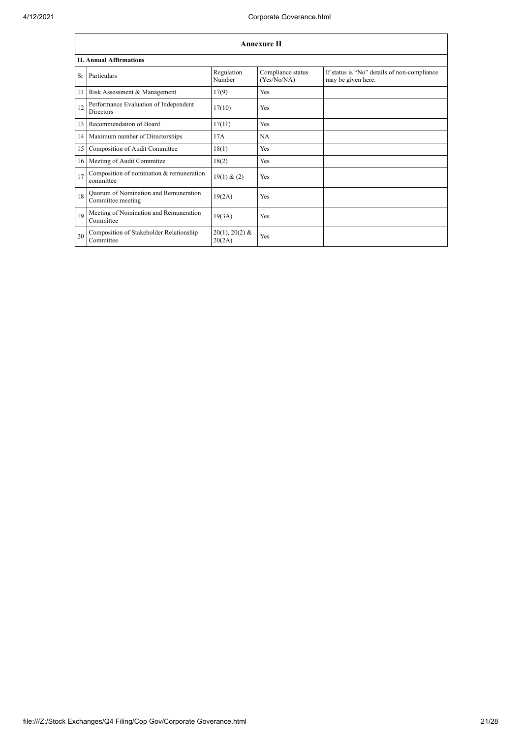|    | <b>Annexure II</b>                                         |                            |                                  |                                                                   |  |  |
|----|------------------------------------------------------------|----------------------------|----------------------------------|-------------------------------------------------------------------|--|--|
|    | <b>II. Annual Affirmations</b>                             |                            |                                  |                                                                   |  |  |
|    | Sr Particulars                                             | Regulation<br>Number       | Compliance status<br>(Yes/No/NA) | If status is "No" details of non-compliance<br>may be given here. |  |  |
|    | 11 Risk Assessment & Management                            | 17(9)                      | Yes                              |                                                                   |  |  |
| 12 | Performance Evaluation of Independent<br><b>Directors</b>  | 17(10)                     | Yes                              |                                                                   |  |  |
| 13 | Recommendation of Board                                    | 17(11)                     | Yes                              |                                                                   |  |  |
|    | 14 Maximum number of Directorships                         | 17A                        | <b>NA</b>                        |                                                                   |  |  |
| 15 | Composition of Audit Committee                             | 18(1)                      | Yes                              |                                                                   |  |  |
| 16 | Meeting of Audit Committee                                 | 18(2)                      | Yes                              |                                                                   |  |  |
| 17 | Composition of nomination & remuneration<br>committee      | 19(1) & (2)                | Yes                              |                                                                   |  |  |
| 18 | Quorum of Nomination and Remuneration<br>Committee meeting | 19(2A)                     | Yes                              |                                                                   |  |  |
| 19 | Meeting of Nomination and Remuneration<br>Committee        | 19(3A)                     | Yes                              |                                                                   |  |  |
| 20 | Composition of Stakeholder Relationship<br>Committee       | $20(1), 20(2)$ &<br>20(2A) | Yes                              |                                                                   |  |  |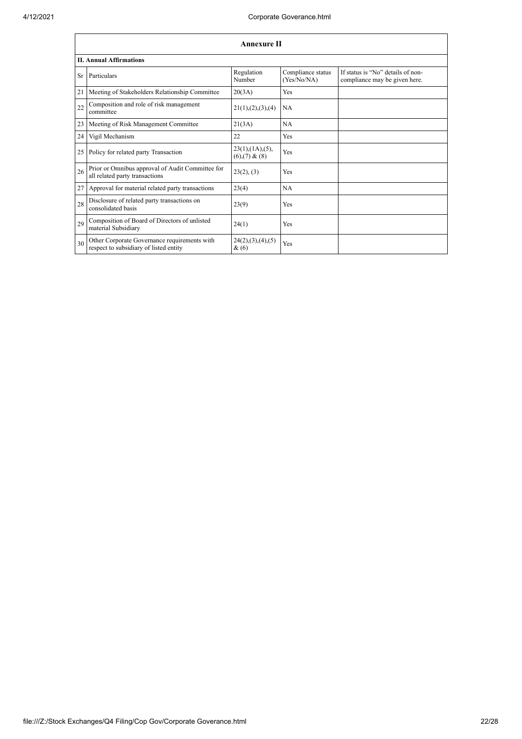|    | <b>Annexure II</b>                                                                     |                                                     |                                  |                                                                    |  |  |
|----|----------------------------------------------------------------------------------------|-----------------------------------------------------|----------------------------------|--------------------------------------------------------------------|--|--|
|    | <b>II. Annual Affirmations</b>                                                         |                                                     |                                  |                                                                    |  |  |
| Sr | Particulars                                                                            | Regulation<br>Number                                | Compliance status<br>(Yes/No/NA) | If status is "No" details of non-<br>compliance may be given here. |  |  |
| 21 | Meeting of Stakeholders Relationship Committee                                         | 20(3A)                                              | Yes                              |                                                                    |  |  |
| 22 | Composition and role of risk management<br>committee                                   | 21(1), (2), (3), (4)                                | <b>NA</b>                        |                                                                    |  |  |
| 23 | Meeting of Risk Management Committee                                                   | 21(3A)                                              | <b>NA</b>                        |                                                                    |  |  |
| 24 | Vigil Mechanism                                                                        | 22                                                  | Yes                              |                                                                    |  |  |
| 25 | Policy for related party Transaction                                                   | $23(1)$ , $(1A)$ , $(5)$ ,<br>$(6)$ , $(7)$ & $(8)$ | Yes                              |                                                                    |  |  |
| 26 | Prior or Omnibus approval of Audit Committee for<br>all related party transactions     | 23(2), (3)                                          | Yes                              |                                                                    |  |  |
| 27 | Approval for material related party transactions                                       | 23(4)                                               | <b>NA</b>                        |                                                                    |  |  |
| 28 | Disclosure of related party transactions on<br>consolidated basis                      | 23(9)                                               | Yes                              |                                                                    |  |  |
| 29 | Composition of Board of Directors of unlisted<br>material Subsidiary                   | 24(1)                                               | Yes                              |                                                                    |  |  |
| 30 | Other Corporate Governance requirements with<br>respect to subsidiary of listed entity | 24(2), (3), (4), (5)<br>&(6)                        | Yes                              |                                                                    |  |  |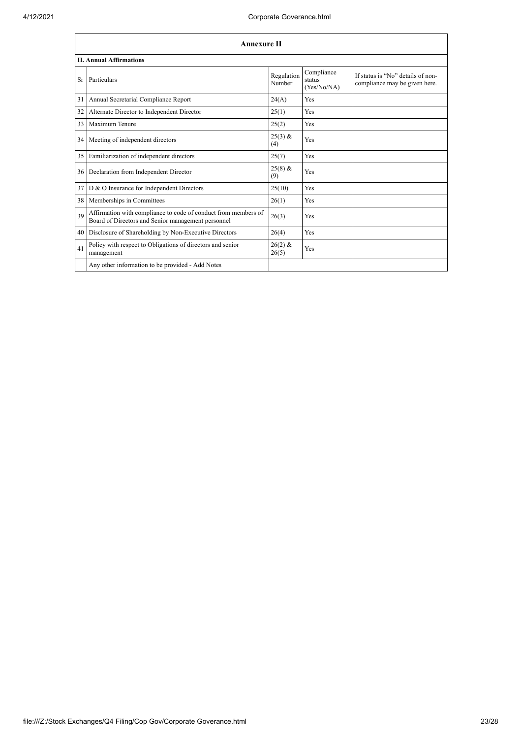|           | <b>Annexure II</b>                                                                                                   |                      |                                     |                                                                    |  |  |
|-----------|----------------------------------------------------------------------------------------------------------------------|----------------------|-------------------------------------|--------------------------------------------------------------------|--|--|
|           | <b>II. Annual Affirmations</b>                                                                                       |                      |                                     |                                                                    |  |  |
| <b>Sr</b> | Particulars                                                                                                          | Regulation<br>Number | Compliance<br>status<br>(Yes/No/NA) | If status is "No" details of non-<br>compliance may be given here. |  |  |
| 31        | Annual Secretarial Compliance Report                                                                                 | 24(A)                | Yes                                 |                                                                    |  |  |
| 32        | Alternate Director to Independent Director                                                                           | 25(1)                | Yes                                 |                                                                    |  |  |
| 33        | Maximum Tenure                                                                                                       | 25(2)                | Yes                                 |                                                                    |  |  |
| 34        | Meeting of independent directors                                                                                     | $25(3)$ &<br>(4)     | Yes                                 |                                                                    |  |  |
| 35        | Familiarization of independent directors                                                                             | 25(7)                | Yes                                 |                                                                    |  |  |
| 36        | Declaration from Independent Director                                                                                | $25(8)$ &<br>(9)     | Yes                                 |                                                                    |  |  |
| 37        | D & O Insurance for Independent Directors                                                                            | 25(10)               | Yes                                 |                                                                    |  |  |
| 38        | Memberships in Committees                                                                                            | 26(1)                | Yes                                 |                                                                    |  |  |
| 39        | Affirmation with compliance to code of conduct from members of<br>Board of Directors and Senior management personnel | 26(3)                | Yes                                 |                                                                    |  |  |
| 40        | Disclosure of Shareholding by Non-Executive Directors                                                                | 26(4)                | Yes                                 |                                                                    |  |  |
| 41        | Policy with respect to Obligations of directors and senior<br>management                                             | $26(2)$ &<br>26(5)   | Yes                                 |                                                                    |  |  |
|           | Any other information to be provided - Add Notes                                                                     |                      |                                     |                                                                    |  |  |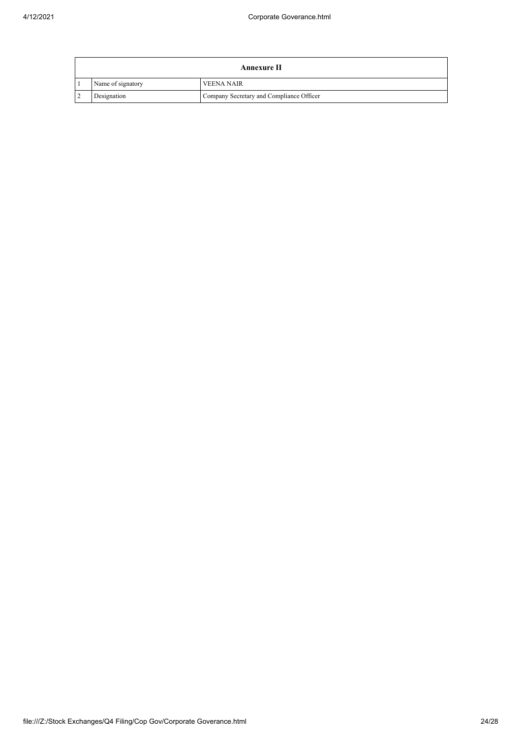|                   | Annexure II                              |
|-------------------|------------------------------------------|
| Name of signatory | <b>VEENA NAIR</b>                        |
| Designation       | Company Secretary and Compliance Officer |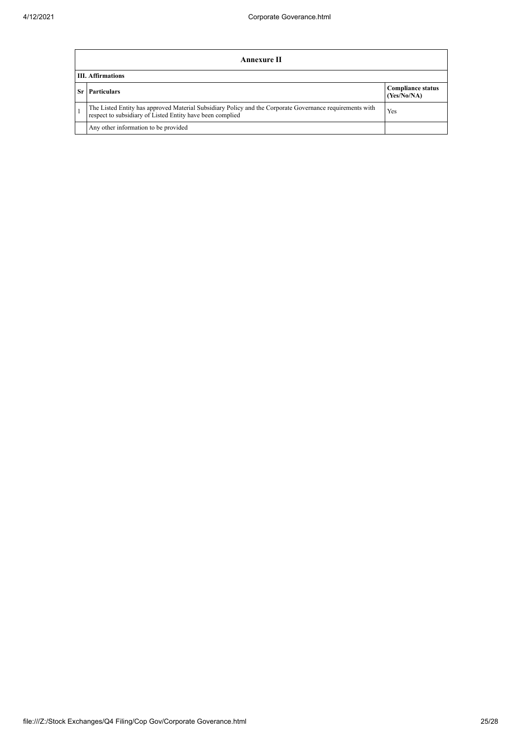|                          | <b>Annexure II</b>                                                                                                                                                    |                                         |  |  |  |
|--------------------------|-----------------------------------------------------------------------------------------------------------------------------------------------------------------------|-----------------------------------------|--|--|--|
| <b>III.</b> Affirmations |                                                                                                                                                                       |                                         |  |  |  |
|                          | <b>Sr</b> Particulars                                                                                                                                                 | <b>Compliance status</b><br>(Yes/No/NA) |  |  |  |
|                          | The Listed Entity has approved Material Subsidiary Policy and the Corporate Governance requirements with<br>respect to subsidiary of Listed Entity have been complied | Yes                                     |  |  |  |
|                          | Any other information to be provided                                                                                                                                  |                                         |  |  |  |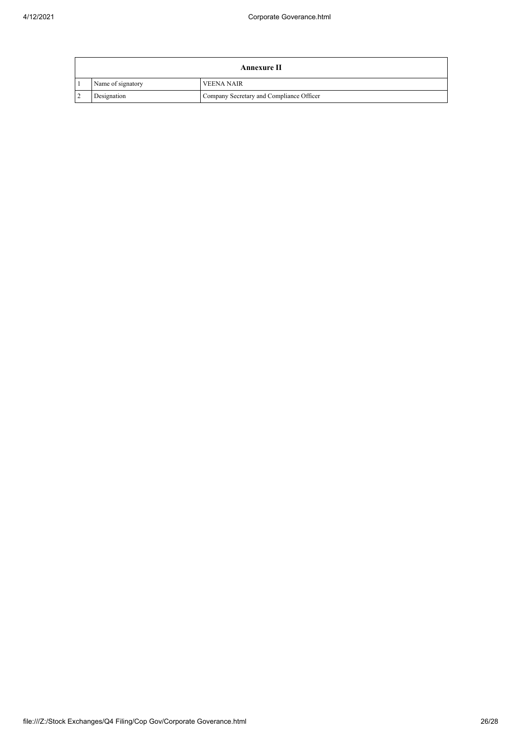| Annexure II       |                                          |  |  |
|-------------------|------------------------------------------|--|--|
| Name of signatory | <b>VEENA NAIR</b>                        |  |  |
| Designation       | Company Secretary and Compliance Officer |  |  |